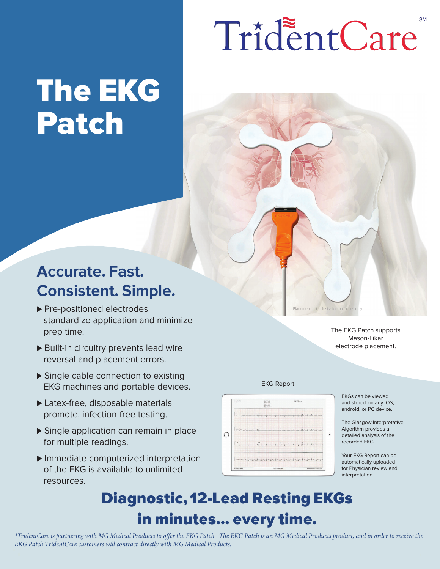# TridentCare

## The EKG Patch

### Accurate. Fast. Consistent. Simple.

- standardize application and minimize prep time. ▶ Pre-positioned electrodes
- ▶ Built-in circuitry prevents lead wire reversal and placement errors.
- ▶ Single cable connection to existing EKG machines and portable devices.
- ▶ Latex-free, disposable materials promote, infection-free testing.
- ▶ Single application can remain in place for multiple readings.
- ▶ Immediate computerized interpretation of the EKG is available to unlimited resources.



EKG Report

EKGs can be viewed and stored on any IOS, android, or PC device.

The EKG Patch supports Mason-Likar electrode placement.

Placement is for illustration purposes only.

The Glasgow Interpretative Algorithm provides a detailed analysis of the recorded EKG.

Your EKG Report can be automatically uploaded for Physician review and interpretation.

### Diagnostic, 12-Lead Resting EKGs in minutes... every time.

*\*TridentCare is partnering with MG Medical Products to offer the EKG Patch. The EKG Patch is an MG Medical Products product, and in order to receive the EKG Patch TridentCare customers will contract directly with MG Medical Products.*